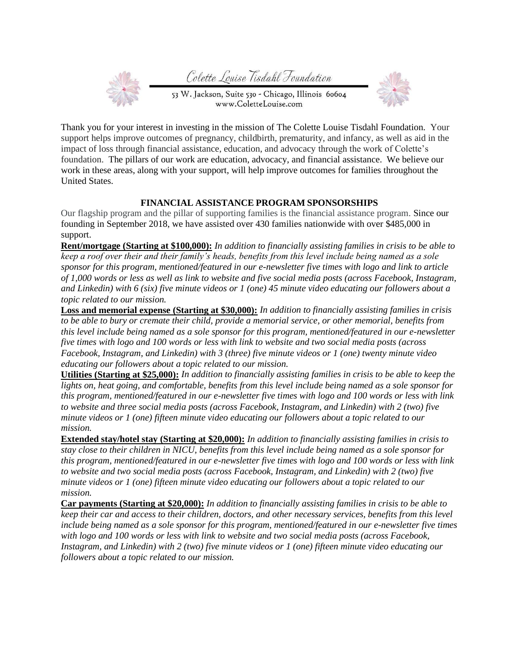Colette Louise Tisdahl Foundation



53 W. Jackson, Suite 530 - Chicago, Illinois 60604 www.ColetteLouise.com



Thank you for your interest in investing in the mission of The Colette Louise Tisdahl Foundation. Your support helps improve outcomes of pregnancy, childbirth, prematurity, and infancy, as well as aid in the impact of loss through financial assistance, education, and advocacy through the work of Colette's foundation. The pillars of our work are education, advocacy, and financial assistance. We believe our work in these areas, along with your support, will help improve outcomes for families throughout the United States.

## **FINANCIAL ASSISTANCE PROGRAM SPONSORSHIPS**

Our flagship program and the pillar of supporting families is the financial assistance program. Since our founding in September 2018, we have assisted over 430 families nationwide with over \$485,000 in support.

**Rent/mortgage (Starting at \$100,000):** *In addition to financially assisting families in crisis to be able to keep a roof over their and their family's heads, benefits from this level include being named as a sole sponsor for this program, mentioned/featured in our e-newsletter five times with logo and link to article of 1,000 words or less as well as link to website and five social media posts (across Facebook, Instagram, and Linkedin) with 6 (six) five minute videos or 1 (one) 45 minute video educating our followers about a topic related to our mission.*

**Loss and memorial expense (Starting at \$30,000):** *In addition to financially assisting families in crisis to be able to bury or cremate their child, provide a memorial service, or other memorial, benefits from this level include being named as a sole sponsor for this program, mentioned/featured in our e-newsletter five times with logo and 100 words or less with link to website and two social media posts (across Facebook, Instagram, and Linkedin) with 3 (three) five minute videos or 1 (one) twenty minute video educating our followers about a topic related to our mission.*

**Utilities (Starting at \$25,000):** *In addition to financially assisting families in crisis to be able to keep the lights on, heat going, and comfortable, benefits from this level include being named as a sole sponsor for this program, mentioned/featured in our e-newsletter five times with logo and 100 words or less with link to website and three social media posts (across Facebook, Instagram, and Linkedin) with 2 (two) five minute videos or 1 (one) fifteen minute video educating our followers about a topic related to our mission.*

**Extended stay/hotel stay (Starting at \$20,000):** *In addition to financially assisting families in crisis to stay close to their children in NICU, benefits from this level include being named as a sole sponsor for this program, mentioned/featured in our e-newsletter five times with logo and 100 words or less with link to website and two social media posts (across Facebook, Instagram, and Linkedin) with 2 (two) five minute videos or 1 (one) fifteen minute video educating our followers about a topic related to our mission.*

**Car payments (Starting at \$20,000):** *In addition to financially assisting families in crisis to be able to keep their car and access to their children, doctors, and other necessary services, benefits from this level include being named as a sole sponsor for this program, mentioned/featured in our e-newsletter five times with logo and 100 words or less with link to website and two social media posts (across Facebook, Instagram, and Linkedin) with 2 (two) five minute videos or 1 (one) fifteen minute video educating our followers about a topic related to our mission.*